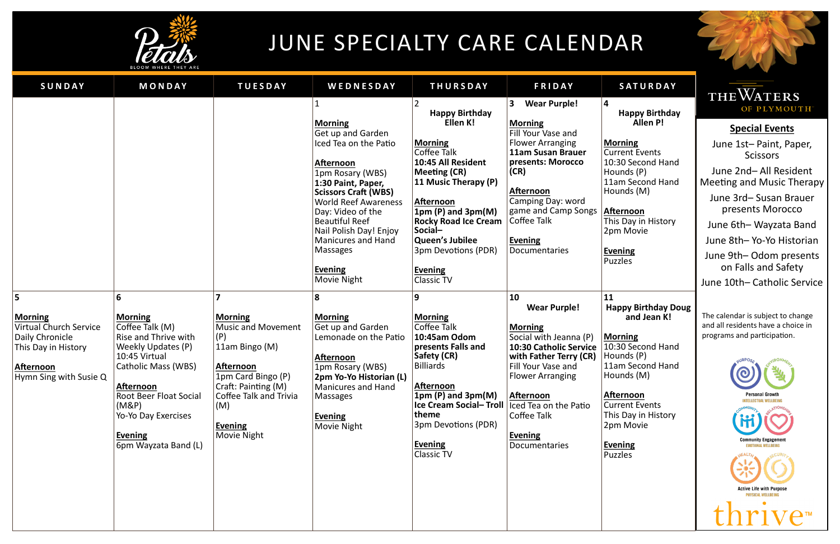June 2nd– All Resident Meeting and Music Therapy

June 3rd– Susan Brauer presents Morocco

June 6th– Wayzata Band

June 8th– Yo-Yo Historian

June 9th– Odom presents on Falls and Safety

June 10th– Catholic Service

The calendar is subject to change and all residents have a choice in programs and participation.



| SUNDAY                                                                                                                                       | MONDAY                                                                                                                                                                                                                                                      | <b>TUESDAY</b>                                                                                                                                                                                          | WEDNESDAY                                                                                                                                                                                                                                                                                                                                         | <b>THURSDAY</b>                                                                                                                                                                                                                                                                                                 | <b>FRIDAY</b>                                                                                                                                                                                                                                                                    | SATURDAY                                                                                                                                                                                                                                                         |
|----------------------------------------------------------------------------------------------------------------------------------------------|-------------------------------------------------------------------------------------------------------------------------------------------------------------------------------------------------------------------------------------------------------------|---------------------------------------------------------------------------------------------------------------------------------------------------------------------------------------------------------|---------------------------------------------------------------------------------------------------------------------------------------------------------------------------------------------------------------------------------------------------------------------------------------------------------------------------------------------------|-----------------------------------------------------------------------------------------------------------------------------------------------------------------------------------------------------------------------------------------------------------------------------------------------------------------|----------------------------------------------------------------------------------------------------------------------------------------------------------------------------------------------------------------------------------------------------------------------------------|------------------------------------------------------------------------------------------------------------------------------------------------------------------------------------------------------------------------------------------------------------------|
|                                                                                                                                              |                                                                                                                                                                                                                                                             |                                                                                                                                                                                                         | <b>Morning</b><br>Get up and Garden<br>Iced Tea on the Patio<br><b>Afternoon</b><br>1pm Rosary (WBS)<br>1:30 Paint, Paper,<br><b>Scissors Craft (WBS)</b><br><b>World Reef Awareness</b><br>Day: Video of the<br><b>Beautiful Reef</b><br>Nail Polish Day! Enjoy<br><b>Manicures and Hand</b><br><b>Massages</b><br><b>Evening</b><br>Movie Night | <b>Happy Birthday</b><br>Ellen K!<br><b>Morning</b><br><b>Coffee Talk</b><br>10:45 All Resident<br><b>Meeting (CR)</b><br>11 Music Therapy (P)<br>Afternoon<br>$1pm(P)$ and $3pm(M)$<br><b>Rocky Road Ice Cream</b><br>Social-<br>Queen's Jubilee<br>3pm Devotions (PDR)<br><b>Evening</b><br><b>Classic TV</b> | <b>Wear Purple!</b><br>3<br><b>Morning</b><br>Fill Your Vase and<br><b>Flower Arranging</b><br>11am Susan Brauer<br>presents: Morocco<br>(CR)<br><b>Afternoon</b><br>Camping Day: word<br>game and Camp Songs<br>Coffee Talk<br><b>Evening</b><br><b>Documentaries</b>           | 4<br><b>Happy Birthday</b><br><b>Allen P!</b><br><b>Morning</b><br><b>Current Events</b><br>10:30 Second Hand<br>Hounds (P)<br>11am Second Hand<br>Hounds (M)<br><b>Afternoon</b><br>This Day in History<br>2pm Movie<br><b>Evening</b><br><b>Puzzles</b>        |
| 5<br><b>Morning</b><br><b>Virtual Church Service</b><br>Daily Chronicle<br>This Day in History<br><b>Afternoon</b><br>Hymn Sing with Susie Q | 6<br><b>Morning</b><br>Coffee Talk (M)<br>Rise and Thrive with<br>Weekly Updates (P)<br>10:45 Virtual<br>Catholic Mass (WBS)<br><b>Afternoon</b><br><b>Root Beer Float Social</b><br>(M&P)<br>Yo-Yo Day Exercises<br><b>Evening</b><br>6pm Wayzata Band (L) | <b>Morning</b><br><b>Music and Movement</b><br>(P)<br>11am Bingo (M)<br><b>Afternoon</b><br>1pm Card Bingo (P)<br>Craft: Painting (M)<br>Coffee Talk and Trivia<br>(M)<br><b>Evening</b><br>Movie Night | 8<br><b>Morning</b><br>Get up and Garden<br>Lemonade on the Patio<br><b>Afternoon</b><br>1pm Rosary (WBS)<br>2pm Yo-Yo Historian (L)<br><b>Manicures and Hand</b><br><b>Massages</b><br><b>Evening</b><br>Movie Night                                                                                                                             | 9<br><b>Morning</b><br>Coffee Talk<br>10:45am Odom<br>presents Falls and<br>Safety (CR)<br><b>Billiards</b><br>Afternoon<br>$1pm(P)$ and $3pm(M)$<br><b>Ice Cream Social-Troll</b><br>theme<br>3pm Devotions (PDR)<br><b>Evening</b><br><b>Classic TV</b>                                                       | 10<br><b>Wear Purple!</b><br><b>Morning</b><br>Social with Jeanna (P)<br><b>10:30 Catholic Service</b><br>with Father Terry (CR)<br>Fill Your Vase and<br><b>Flower Arranging</b><br>Afternoon<br>Iced Tea on the Patio<br>Coffee Talk<br><b>Evening</b><br><b>Documentaries</b> | <b>11</b><br><b>Happy Birthday Do</b><br>and Jean K!<br><b>Morning</b><br>10:30 Second Hand<br>Hounds (P)<br>11am Second Hand<br>Hounds (M)<br><b>Afternoon</b><br><b>Current Events</b><br>This Day in History<br>2pm Movie<br><b>Evening</b><br><b>Puzzles</b> |

**Happy Birthday Doug and Jean K!**

## THE WATERS OF PLYMOUTH®

**Special Events** June 1st– Paint, Paper, **Scissors** 



# JUNE SPECIALTY CARE CALENDAR